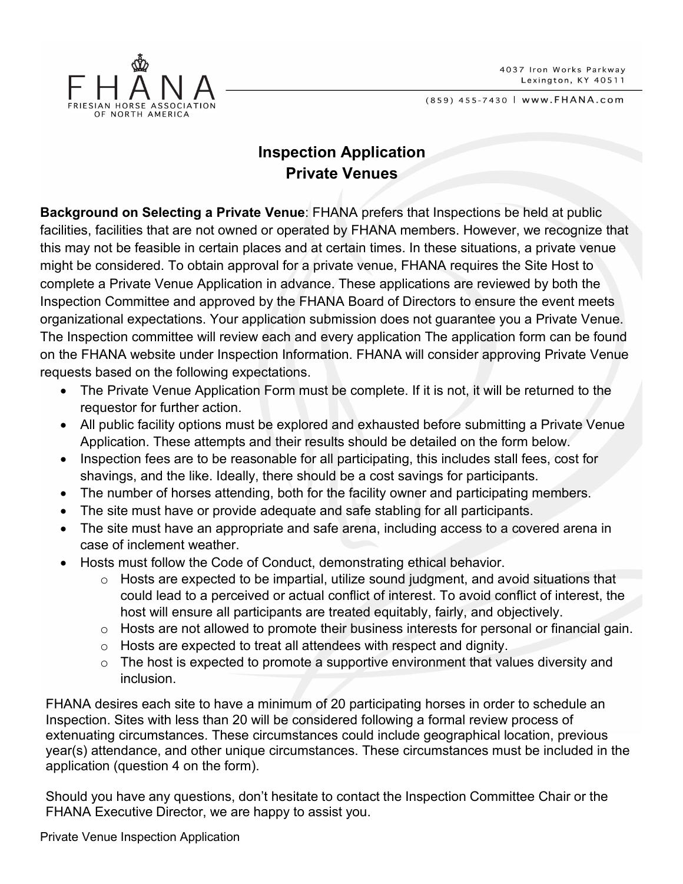



## **Inspection Application Private Venues**

**Background on Selecting a Private Venue**: FHANA prefers that Inspections be held at public facilities, facilities that are not owned or operated by FHANA members. However, we recognize that this may not be feasible in certain places and at certain times. In these situations, a private venue might be considered. To obtain approval for a private venue, FHANA requires the Site Host to complete a Private Venue Application in advance. These applications are reviewed by both the Inspection Committee and approved by the FHANA Board of Directors to ensure the event meets organizational expectations. Your application submission does not guarantee you a Private Venue. The Inspection committee will review each and every application The application form can be found on the FHANA website under Inspection Information. FHANA will consider approving Private Venue requests based on the following expectations.

- The Private Venue Application Form must be complete. If it is not, it will be returned to the requestor for further action.
- All public facility options must be explored and exhausted before submitting a Private Venue Application. These attempts and their results should be detailed on the form below.
- Inspection fees are to be reasonable for all participating, this includes stall fees, cost for shavings, and the like. Ideally, there should be a cost savings for participants.
- The number of horses attending, both for the facility owner and participating members.
- The site must have or provide adequate and safe stabling for all participants.
- The site must have an appropriate and safe arena, including access to a covered arena in case of inclement weather.
- Hosts must follow the Code of Conduct, demonstrating ethical behavior.
	- o Hosts are expected to be impartial, utilize sound judgment, and avoid situations that could lead to a perceived or actual conflict of interest. To avoid conflict of interest, the host will ensure all participants are treated equitably, fairly, and objectively.
	- o Hosts are not allowed to promote their business interests for personal or financial gain.
	- o Hosts are expected to treat all attendees with respect and dignity.
	- $\circ$  The host is expected to promote a supportive environment that values diversity and inclusion.

FHANA desires each site to have a minimum of 20 participating horses in order to schedule an Inspection. Sites with less than 20 will be considered following a formal review process of extenuating circumstances. These circumstances could include geographical location, previous year(s) attendance, and other unique circumstances. These circumstances must be included in the application (question 4 on the form).

Should you have any questions, don't hesitate to contact the Inspection Committee Chair or the FHANA Executive Director, we are happy to assist you.

Private Venue Inspection Application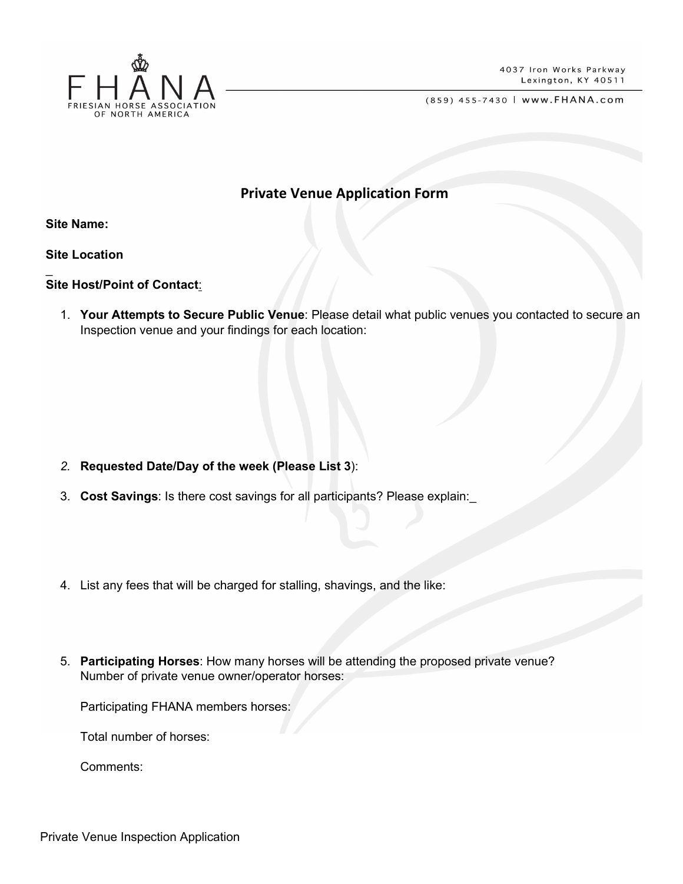

## **Private Venue Application Form**

**Site Name:** 

\_

**Site Location**

## **Site Host/Point of Contact**:

1. **Your Attempts to Secure Public Venue**: Please detail what public venues you contacted to secure an Inspection venue and your findings for each location:

- *2.* **Requested Date/Day of the week (Please List 3**):
- 3. **Cost Savings**: Is there cost savings for all participants? Please explain:\_
- 4. List any fees that will be charged for stalling, shavings, and the like:
- 5. **Participating Horses**: How many horses will be attending the proposed private venue? Number of private venue owner/operator horses:

Participating FHANA members horses:

Total number of horses:

Comments: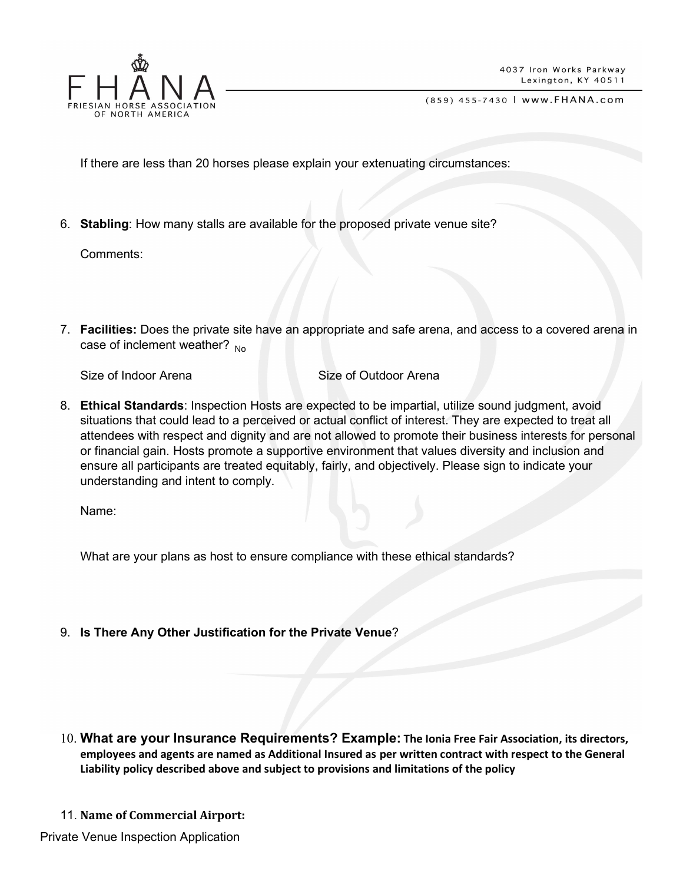

If there are less than 20 horses please explain your extenuating circumstances:

6. **Stabling**: How many stalls are available for the proposed private venue site?

Comments:

7. **Facilities:** Does the private site have an appropriate and safe arena, and access to a covered arena in case of inclement weather? <sub>No</sub>

Size of Indoor Arena Size of Outdoor Arena

8. **Ethical Standards**: Inspection Hosts are expected to be impartial, utilize sound judgment, avoid situations that could lead to a perceived or actual conflict of interest. They are expected to treat all attendees with respect and dignity and are not allowed to promote their business interests for personal or financial gain. Hosts promote a supportive environment that values diversity and inclusion and ensure all participants are treated equitably, fairly, and objectively. Please sign to indicate your understanding and intent to comply.

Name:

What are your plans as host to ensure compliance with these ethical standards?

9. **Is There Any Other Justification for the Private Venue**?

- 10. **What are your Insurance Requirements? Example: The Ionia Free Fair Association, its directors, employees and agents are named as Additional Insured as per written contract with respect to the General Liability policy described above and subject to provisions and limitations of the policy**
- 11. **Name of Commercial Airport:**